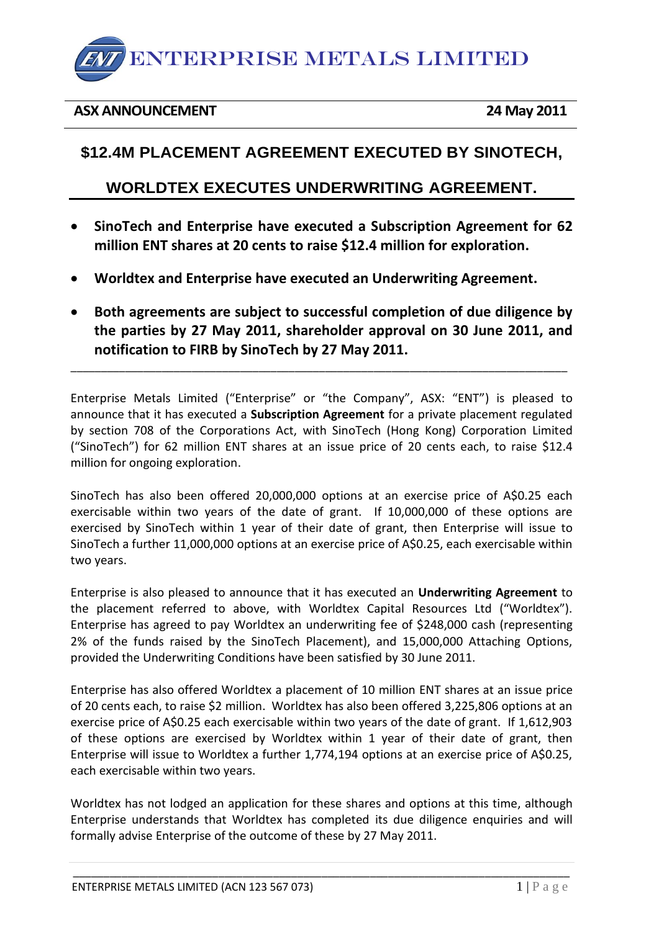

#### **ASX ANNOUNCEMENT 24 May 2011**

# **\$12.4M PLACEMENT AGREEMENT EXECUTED BY SINOTECH,**

## **WORLDTEX EXECUTES UNDERWRITING AGREEMENT.**

- **SinoTech and Enterprise have executed a Subscription Agreement for 62 million ENT shares at 20 cents to raise \$12.4 million for exploration.**
- **Worldtex and Enterprise have executed an Underwriting Agreement.**
- **Both agreements are subject to successful completion of due diligence by the parties by 27 May 2011, shareholder approval on 30 June 2011, and notification to FIRB by SinoTech by 27 May 2011.**

\_\_\_\_\_\_\_\_\_\_\_\_\_\_\_\_\_\_\_\_\_\_\_\_\_\_\_\_\_\_\_\_\_\_\_\_\_\_\_\_\_\_\_\_\_\_\_\_\_\_\_\_\_\_\_\_\_\_\_\_\_\_\_\_\_\_\_\_\_\_\_\_\_\_\_\_\_\_\_\_\_\_

Enterprise Metals Limited ("Enterprise" or "the Company", ASX: "ENT") is pleased to announce that it has executed a **Subscription Agreement** for a private placement regulated by section 708 of the Corporations Act, with SinoTech (Hong Kong) Corporation Limited ("SinoTech") for 62 million ENT shares at an issue price of 20 cents each, to raise \$12.4 million for ongoing exploration.

SinoTech has also been offered 20,000,000 options at an exercise price of A\$0.25 each exercisable within two years of the date of grant. If 10,000,000 of these options are exercised by SinoTech within 1 year of their date of grant, then Enterprise will issue to SinoTech a further 11,000,000 options at an exercise price of A\$0.25, each exercisable within two years.

Enterprise is also pleased to announce that it has executed an **Underwriting Agreement** to the placement referred to above, with Worldtex Capital Resources Ltd ("Worldtex"). Enterprise has agreed to pay Worldtex an underwriting fee of \$248,000 cash (representing 2% of the funds raised by the SinoTech Placement), and 15,000,000 Attaching Options, provided the Underwriting Conditions have been satisfied by 30 June 2011.

Enterprise has also offered Worldtex a placement of 10 million ENT shares at an issue price of 20 cents each, to raise \$2 million. Worldtex has also been offered 3,225,806 options at an exercise price of A\$0.25 each exercisable within two years of the date of grant. If 1,612,903 of these options are exercised by Worldtex within 1 year of their date of grant, then Enterprise will issue to Worldtex a further 1,774,194 options at an exercise price of A\$0.25, each exercisable within two years.

Worldtex has not lodged an application for these shares and options at this time, although Enterprise understands that Worldtex has completed its due diligence enquiries and will formally advise Enterprise of the outcome of these by 27 May 2011.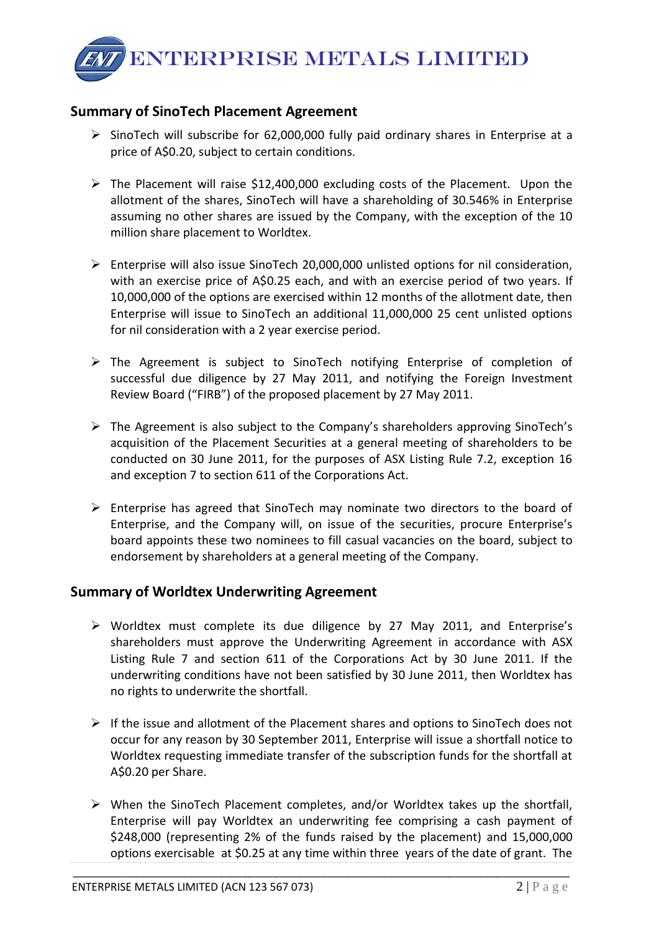ENTERPRISE METALS LIMITED

### **Summary of SinoTech Placement Agreement**

- $\triangleright$  SinoTech will subscribe for 62,000,000 fully paid ordinary shares in Enterprise at a price of A\$0.20, subject to certain conditions.
- $\triangleright$  The Placement will raise \$12,400,000 excluding costs of the Placement. Upon the allotment of the shares, SinoTech will have a shareholding of 30.546% in Enterprise assuming no other shares are issued by the Company, with the exception of the 10 million share placement to Worldtex.
- $\triangleright$  Enterprise will also issue SinoTech 20,000,000 unlisted options for nil consideration, with an exercise price of A\$0.25 each, and with an exercise period of two years. If 10,000,000 of the options are exercised within 12 months of the allotment date, then Enterprise will issue to SinoTech an additional 11,000,000 25 cent unlisted options for nil consideration with a 2 year exercise period.
- $\triangleright$  The Agreement is subject to SinoTech notifying Enterprise of completion of successful due diligence by 27 May 2011, and notifying the Foreign Investment Review Board ("FIRB") of the proposed placement by 27 May 2011.
- The Agreement is also subject to the Company's shareholders approving SinoTech's acquisition of the Placement Securities at a general meeting of shareholders to be conducted on 30 June 2011, for the purposes of ASX Listing Rule 7.2, exception 16 and exception 7 to section 611 of the Corporations Act.
- $\triangleright$  Enterprise has agreed that SinoTech may nominate two directors to the board of Enterprise, and the Company will, on issue of the securities, procure Enterprise's board appoints these two nominees to fill casual vacancies on the board, subject to endorsement by shareholders at a general meeting of the Company.

### **Summary of Worldtex Underwriting Agreement**

- Worldtex must complete its due diligence by 27 May 2011, and Enterprise's shareholders must approve the Underwriting Agreement in accordance with ASX Listing Rule 7 and section 611 of the Corporations Act by 30 June 2011. If the underwriting conditions have not been satisfied by 30 June 2011, then Worldtex has no rights to underwrite the shortfall.
- $\triangleright$  If the issue and allotment of the Placement shares and options to SinoTech does not occur for any reason by 30 September 2011, Enterprise will issue a shortfall notice to Worldtex requesting immediate transfer of the subscription funds for the shortfall at A\$0.20 per Share.
- $\triangleright$  When the SinoTech Placement completes, and/or Worldtex takes up the shortfall, Enterprise will pay Worldtex an underwriting fee comprising a cash payment of \$248,000 (representing 2% of the funds raised by the placement) and 15,000,000 options exercisable at \$0.25 at any time within three years of the date of grant. The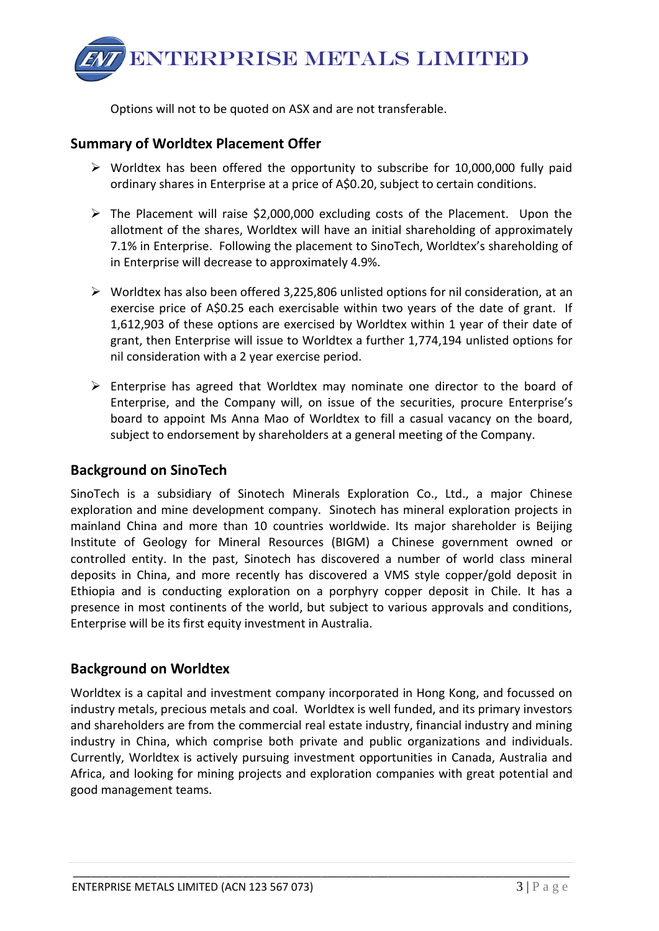

Options will not to be quoted on ASX and are not transferable.

#### **Summary of Worldtex Placement Offer**

- $\triangleright$  Worldtex has been offered the opportunity to subscribe for 10,000,000 fully paid ordinary shares in Enterprise at a price of A\$0.20, subject to certain conditions.
- $\triangleright$  The Placement will raise \$2,000,000 excluding costs of the Placement. Upon the allotment of the shares, Worldtex will have an initial shareholding of approximately 7.1% in Enterprise. Following the placement to SinoTech, Worldtex's shareholding of in Enterprise will decrease to approximately 4.9%.
- $\triangleright$  Worldtex has also been offered 3,225,806 unlisted options for nil consideration, at an exercise price of A\$0.25 each exercisable within two years of the date of grant. If 1,612,903 of these options are exercised by Worldtex within 1 year of their date of grant, then Enterprise will issue to Worldtex a further 1,774,194 unlisted options for nil consideration with a 2 year exercise period.
- $\triangleright$  Enterprise has agreed that Worldtex may nominate one director to the board of Enterprise, and the Company will, on issue of the securities, procure Enterprise's board to appoint Ms Anna Mao of Worldtex to fill a casual vacancy on the board, subject to endorsement by shareholders at a general meeting of the Company.

### **Background on SinoTech**

SinoTech is a subsidiary of Sinotech Minerals Exploration Co., Ltd., a major Chinese exploration and mine development company. Sinotech has mineral exploration projects in mainland China and more than 10 countries worldwide. Its major shareholder is Beijing Institute of Geology for Mineral Resources (BIGM) a Chinese government owned or controlled entity. In the past, Sinotech has discovered a number of world class mineral deposits in China, and more recently has discovered a VMS style copper/gold deposit in Ethiopia and is conducting exploration on a porphyry copper deposit in Chile. It has a presence in most continents of the world, but subject to various approvals and conditions, Enterprise will be its first equity investment in Australia.

#### **Background on Worldtex**

Worldtex is a capital and investment company incorporated in Hong Kong, and focussed on industry metals, precious metals and coal. Worldtex is well funded, and its primary investors and shareholders are from the commercial real estate industry, financial industry and mining industry in China, which comprise both private and public organizations and individuals. Currently, Worldtex is actively pursuing investment opportunities in Canada, Australia and Africa, and looking for mining projects and exploration companies with great potential and good management teams.